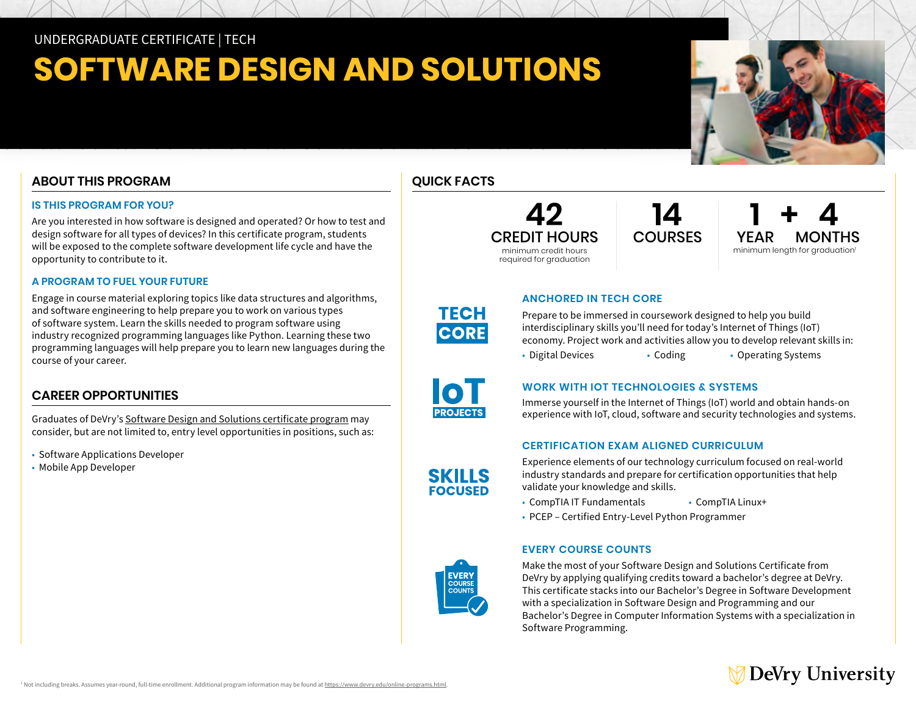### UNDERGRADUATE CERTIFICATE | TECH

# **SOFTWARE DESIGN AND SOLUTIONS**

### **ABOUT THIS PROGRAM**

#### **IS THIS PROGRAM FOR YOU?**

Are you interested in how software is designed and operated? Or how to test and design software for all types of devices? In this certificate program, students will be exposed to the complete software development life cycle and have the opportunity to contribute to it.

#### **A PROGRAM TO FUEL YOUR FUTURE**

Engage in course material exploring topics like data structures and algorithms, and software engineering to help prepare you to work on various types of software system. Learn the skills needed to program software using industry recognized programming languages like Python. Learning these two programming languages will help prepare you to learn new languages during the course of your career.

#### **CAREER OPPORTUNITIES**

Graduates of DeVry's [Software Design and Solutions certificate program](https://www.devry.edu/online-programs/undergraduate-certificates/software-design-and-solutions.html) may consider, but are not limited to, entry level opportunities in positions, such as:

- Software Applications Developer
- Mobile App Developer





**42 14 1 + 4** minimum length for graduation<sup>1</sup>

## **TECH CORE**

 **ANCHORED IN TECH CORE** Prepare to be immersed in coursework designed to help you build interdisciplinary skills you'll need for today's Internet of Things (IoT)

- economy. Project work and activities allow you to develop relevant skills in:
- Digital Devices Coding Operating Systems



**SKILLS FOCUSED** 

#### **WORK WITH IOT TECHNOLOGIES & SYSTEMS**

Immerse yourself in the Internet of Things (IoT) world and obtain hands-on experience with IoT, cloud, software and security technologies and systems.

#### **CERTIFICATION EXAM ALIGNED CURRICULUM**

Experience elements of our technology curriculum focused on real-world industry standards and prepare for certification opportunities that help validate your knowledge and skills.

- CompTIA IT Fundamentals CompTIA Linux+
- PCEP Certified Entry-Level Python Programmer

#### **EVERY COURSE COUNTS**

Make the most of your Software Design and Solutions Certificate from DeVry by applying qualifying credits toward a bachelor's degree at DeVry. This certificate stacks into our Bachelor's Degree in Software Development with a specialization in Software Design and Programming and our Bachelor's Degree in Computer Information Systems with a specialization in Software Programming.